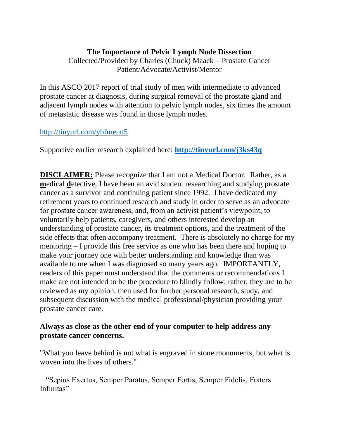## **The Importance of Pelvic Lymph Node Dissection**

Collected/Provided by Charles (Chuck) Maack – Prostate Cancer Patient/Advocate/Activist/Mentor

In this ASCO 2017 report of trial study of men with intermediate to advanced prostate cancer at diagnosis, during surgical removal of the prostate gland and adjacent lymph nodes with attention to pelvic lymph nodes, six times the amount of metastatic disease was found in those lymph nodes.

## <http://tinyurl.com/ybfmeuu5>

Supportive earlier research explained here: **<http://tinyurl.com/j3ks43q>**

**DISCLAIMER:** Please recognize that I am not a Medical Doctor. Rather, as a **m**edical **d**etective, I have been an avid student researching and studying prostate cancer as a survivor and continuing patient since 1992. I have dedicated my retirement years to continued research and study in order to serve as an advocate for prostate cancer awareness, and, from an activist patient's viewpoint, to voluntarily help patients, caregivers, and others interested develop an understanding of prostate cancer, its treatment options, and the treatment of the side effects that often accompany treatment. There is absolutely no charge for my mentoring – I provide this free service as one who has been there and hoping to make your journey one with better understanding and knowledge than was available to me when I was diagnosed so many years ago. IMPORTANTLY, readers of this paper must understand that the comments or recommendations I make are not intended to be the procedure to blindly follow; rather, they are to be reviewed as my opinion, then used for further personal research, study, and subsequent discussion with the medical professional/physician providing your prostate cancer care.

## **Always as close as the other end of your computer to help address any prostate cancer concerns.**

"What you leave behind is not what is engraved in stone monuments, but what is woven into the lives of others."

 "Sepius Exertus, Semper Paratus, Semper Fortis, Semper Fidelis, Fraters Infinitas"